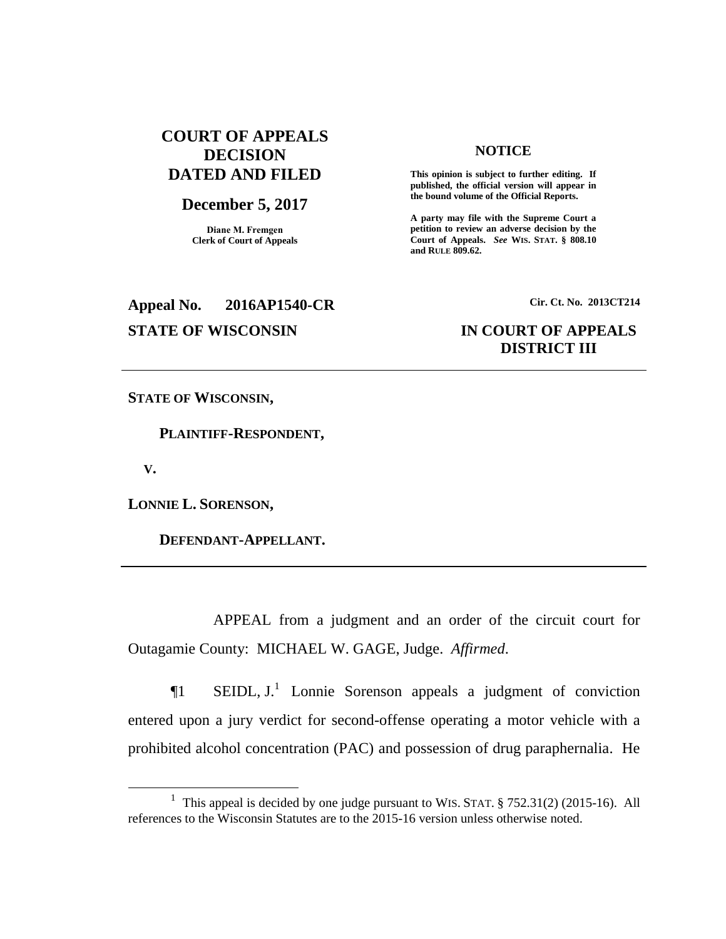# **COURT OF APPEALS DECISION DATED AND FILED**

# **December 5, 2017**

**Diane M. Fremgen Clerk of Court of Appeals**

### **NOTICE**

**This opinion is subject to further editing. If published, the official version will appear in the bound volume of the Official Reports.** 

**A party may file with the Supreme Court a petition to review an adverse decision by the Court of Appeals.** *See* **WIS. STAT. § 808.10 and RULE 809.62.** 

# **Appeal No. 2016AP1540-CR Cir. Ct. No. 2013CT214**

# **STATE OF WISCONSIN IN COURT OF APPEALS DISTRICT III**

**STATE OF WISCONSIN,**

 **PLAINTIFF-RESPONDENT,**

 **V.**

 $\overline{a}$ 

**LONNIE L. SORENSON,**

 **DEFENDANT-APPELLANT.**

APPEAL from a judgment and an order of the circuit court for Outagamie County: MICHAEL W. GAGE, Judge. *Affirmed*.

¶1 SEIDL, J.<sup>1</sup> Lonnie Sorenson appeals a judgment of conviction entered upon a jury verdict for second-offense operating a motor vehicle with a prohibited alcohol concentration (PAC) and possession of drug paraphernalia. He

<sup>&</sup>lt;sup>1</sup> This appeal is decided by one judge pursuant to WIS. STAT. § 752.31(2) (2015-16). All references to the Wisconsin Statutes are to the 2015-16 version unless otherwise noted.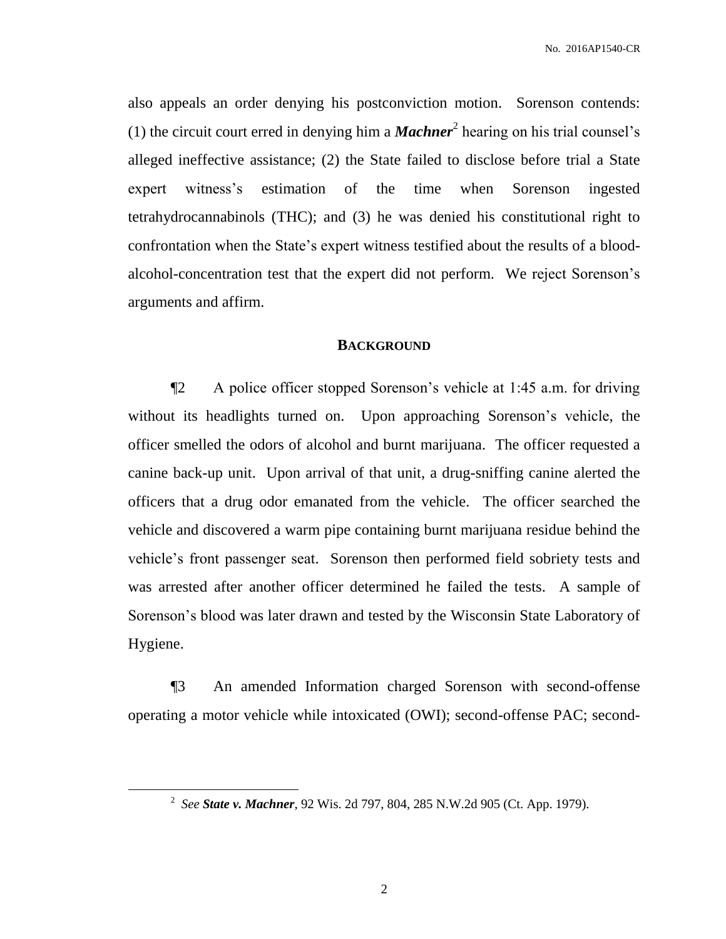also appeals an order denying his postconviction motion. Sorenson contends: (1) the circuit court erred in denying him a *Machner*<sup>2</sup> hearing on his trial counsel's alleged ineffective assistance; (2) the State failed to disclose before trial a State expert witness's estimation of the time when Sorenson ingested tetrahydrocannabinols (THC); and (3) he was denied his constitutional right to confrontation when the State's expert witness testified about the results of a bloodalcohol-concentration test that the expert did not perform. We reject Sorenson's arguments and affirm.

# **BACKGROUND**

¶2 A police officer stopped Sorenson's vehicle at 1:45 a.m. for driving without its headlights turned on. Upon approaching Sorenson's vehicle, the officer smelled the odors of alcohol and burnt marijuana. The officer requested a canine back-up unit. Upon arrival of that unit, a drug-sniffing canine alerted the officers that a drug odor emanated from the vehicle. The officer searched the vehicle and discovered a warm pipe containing burnt marijuana residue behind the vehicle's front passenger seat. Sorenson then performed field sobriety tests and was arrested after another officer determined he failed the tests. A sample of Sorenson's blood was later drawn and tested by the Wisconsin State Laboratory of Hygiene.

¶3 An amended Information charged Sorenson with second-offense operating a motor vehicle while intoxicated (OWI); second-offense PAC; second-

 $\overline{a}$ 

<sup>2</sup> *See State v. Machner*, 92 Wis. 2d 797, 804, 285 N.W.2d 905 (Ct. App. 1979).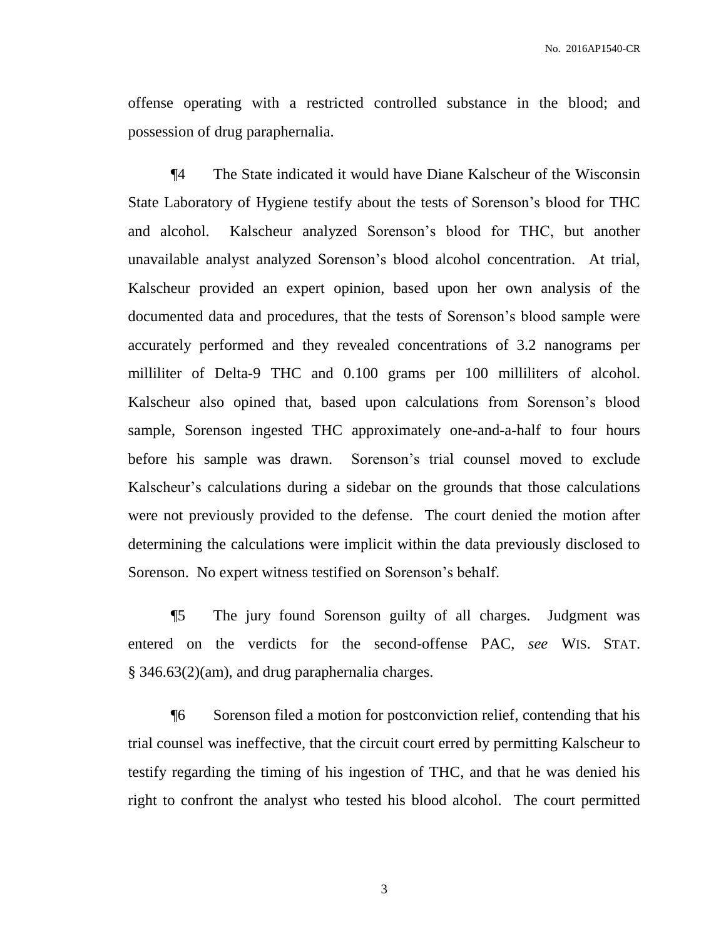offense operating with a restricted controlled substance in the blood; and possession of drug paraphernalia.

¶4 The State indicated it would have Diane Kalscheur of the Wisconsin State Laboratory of Hygiene testify about the tests of Sorenson's blood for THC and alcohol. Kalscheur analyzed Sorenson's blood for THC, but another unavailable analyst analyzed Sorenson's blood alcohol concentration. At trial, Kalscheur provided an expert opinion, based upon her own analysis of the documented data and procedures, that the tests of Sorenson's blood sample were accurately performed and they revealed concentrations of 3.2 nanograms per milliliter of Delta-9 THC and 0.100 grams per 100 milliliters of alcohol. Kalscheur also opined that, based upon calculations from Sorenson's blood sample, Sorenson ingested THC approximately one-and-a-half to four hours before his sample was drawn. Sorenson's trial counsel moved to exclude Kalscheur's calculations during a sidebar on the grounds that those calculations were not previously provided to the defense. The court denied the motion after determining the calculations were implicit within the data previously disclosed to Sorenson. No expert witness testified on Sorenson's behalf.

¶5 The jury found Sorenson guilty of all charges. Judgment was entered on the verdicts for the second-offense PAC, *see* WIS. STAT. § 346.63(2)(am), and drug paraphernalia charges.

¶6 Sorenson filed a motion for postconviction relief, contending that his trial counsel was ineffective, that the circuit court erred by permitting Kalscheur to testify regarding the timing of his ingestion of THC, and that he was denied his right to confront the analyst who tested his blood alcohol. The court permitted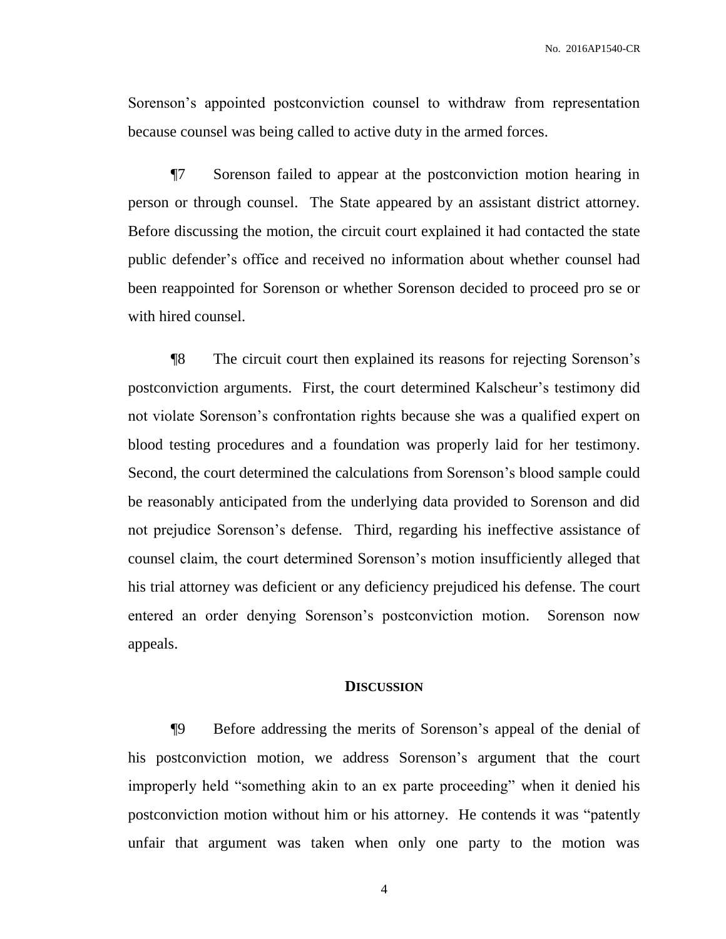Sorenson's appointed postconviction counsel to withdraw from representation because counsel was being called to active duty in the armed forces.

¶7 Sorenson failed to appear at the postconviction motion hearing in person or through counsel. The State appeared by an assistant district attorney. Before discussing the motion, the circuit court explained it had contacted the state public defender's office and received no information about whether counsel had been reappointed for Sorenson or whether Sorenson decided to proceed pro se or with hired counsel.

¶8 The circuit court then explained its reasons for rejecting Sorenson's postconviction arguments. First, the court determined Kalscheur's testimony did not violate Sorenson's confrontation rights because she was a qualified expert on blood testing procedures and a foundation was properly laid for her testimony. Second, the court determined the calculations from Sorenson's blood sample could be reasonably anticipated from the underlying data provided to Sorenson and did not prejudice Sorenson's defense. Third, regarding his ineffective assistance of counsel claim, the court determined Sorenson's motion insufficiently alleged that his trial attorney was deficient or any deficiency prejudiced his defense. The court entered an order denying Sorenson's postconviction motion. Sorenson now appeals.

### **DISCUSSION**

¶9 Before addressing the merits of Sorenson's appeal of the denial of his postconviction motion, we address Sorenson's argument that the court improperly held "something akin to an ex parte proceeding" when it denied his postconviction motion without him or his attorney. He contends it was "patently unfair that argument was taken when only one party to the motion was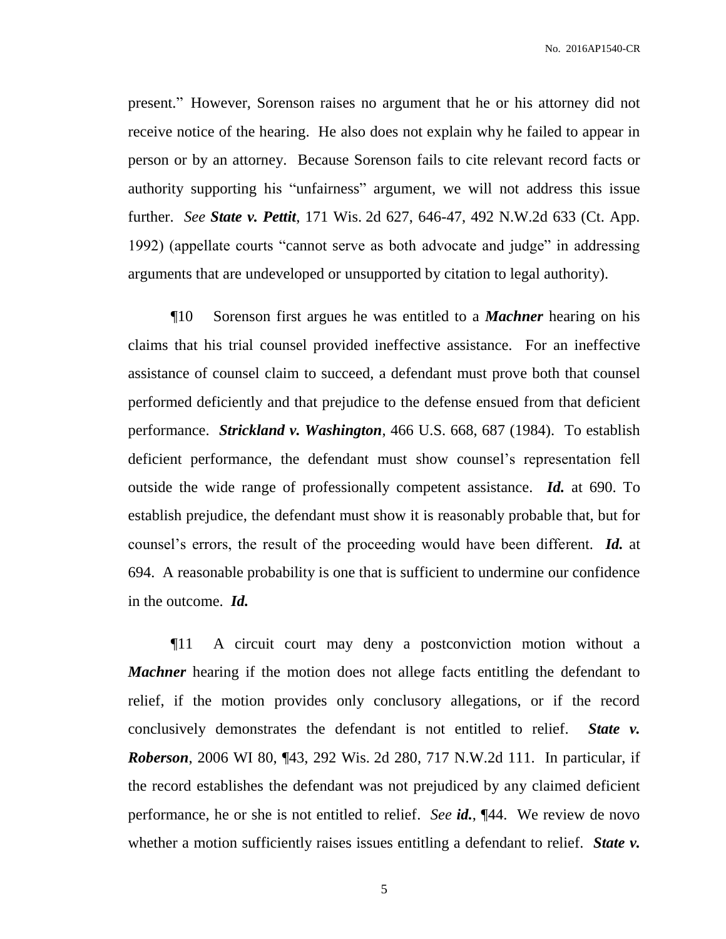present." However, Sorenson raises no argument that he or his attorney did not receive notice of the hearing. He also does not explain why he failed to appear in person or by an attorney. Because Sorenson fails to cite relevant record facts or authority supporting his "unfairness" argument, we will not address this issue further. *See State v. Pettit*, 171 Wis. 2d 627, 646-47, 492 N.W.2d 633 (Ct. App. 1992) (appellate courts "cannot serve as both advocate and judge" in addressing arguments that are undeveloped or unsupported by citation to legal authority).

¶10 Sorenson first argues he was entitled to a *Machner* hearing on his claims that his trial counsel provided ineffective assistance. For an ineffective assistance of counsel claim to succeed, a defendant must prove both that counsel performed deficiently and that prejudice to the defense ensued from that deficient performance. *Strickland v. Washington*, 466 U.S. 668, 687 (1984). To establish deficient performance, the defendant must show counsel's representation fell outside the wide range of professionally competent assistance. *Id.* at 690. To establish prejudice, the defendant must show it is reasonably probable that, but for counsel's errors, the result of the proceeding would have been different. *Id.* at 694. A reasonable probability is one that is sufficient to undermine our confidence in the outcome. *Id.*

¶11 A circuit court may deny a postconviction motion without a *Machner* hearing if the motion does not allege facts entitling the defendant to relief, if the motion provides only conclusory allegations, or if the record conclusively demonstrates the defendant is not entitled to relief. *State v. Roberson*, 2006 WI 80, ¶43, 292 Wis. 2d 280, 717 N.W.2d 111. In particular, if the record establishes the defendant was not prejudiced by any claimed deficient performance, he or she is not entitled to relief. *See id.*, ¶44. We review de novo whether a motion sufficiently raises issues entitling a defendant to relief. *State v*.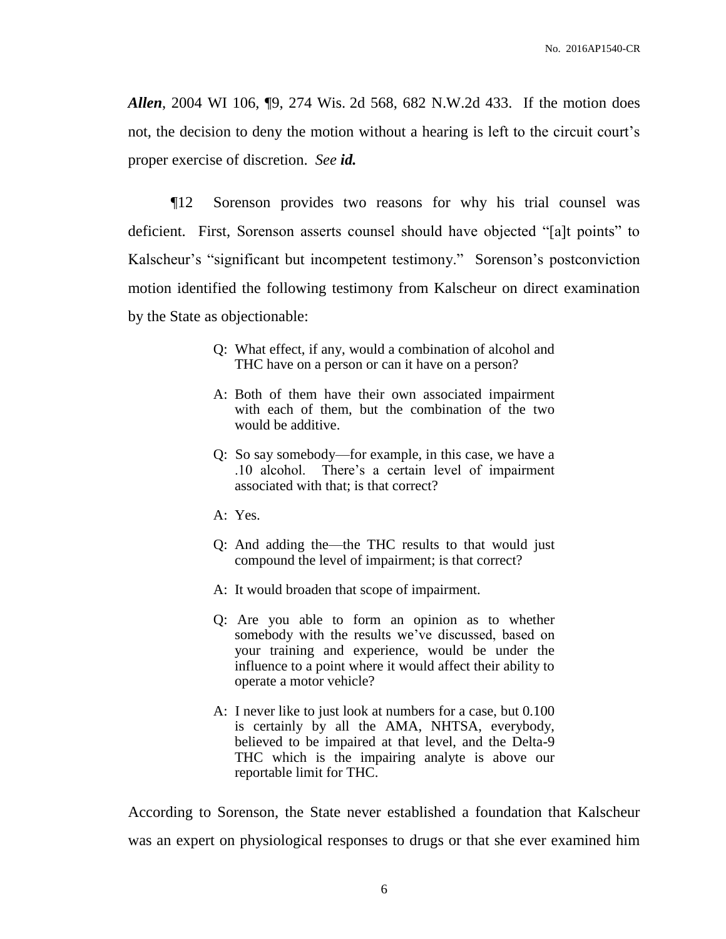*Allen*, 2004 WI 106, ¶9, 274 Wis. 2d 568, 682 N.W.2d 433. If the motion does not, the decision to deny the motion without a hearing is left to the circuit court's proper exercise of discretion. *See id.*

¶12 Sorenson provides two reasons for why his trial counsel was deficient. First, Sorenson asserts counsel should have objected "[a]t points" to Kalscheur's "significant but incompetent testimony." Sorenson's postconviction motion identified the following testimony from Kalscheur on direct examination by the State as objectionable:

- Q: What effect, if any, would a combination of alcohol and THC have on a person or can it have on a person?
- A: Both of them have their own associated impairment with each of them, but the combination of the two would be additive.
- Q: So say somebody—for example, in this case, we have a .10 alcohol. There's a certain level of impairment associated with that; is that correct?
- A: Yes.
- Q: And adding the—the THC results to that would just compound the level of impairment; is that correct?
- A: It would broaden that scope of impairment.
- Q: Are you able to form an opinion as to whether somebody with the results we've discussed, based on your training and experience, would be under the influence to a point where it would affect their ability to operate a motor vehicle?
- A: I never like to just look at numbers for a case, but 0.100 is certainly by all the AMA, NHTSA, everybody, believed to be impaired at that level, and the Delta-9 THC which is the impairing analyte is above our reportable limit for THC.

According to Sorenson, the State never established a foundation that Kalscheur was an expert on physiological responses to drugs or that she ever examined him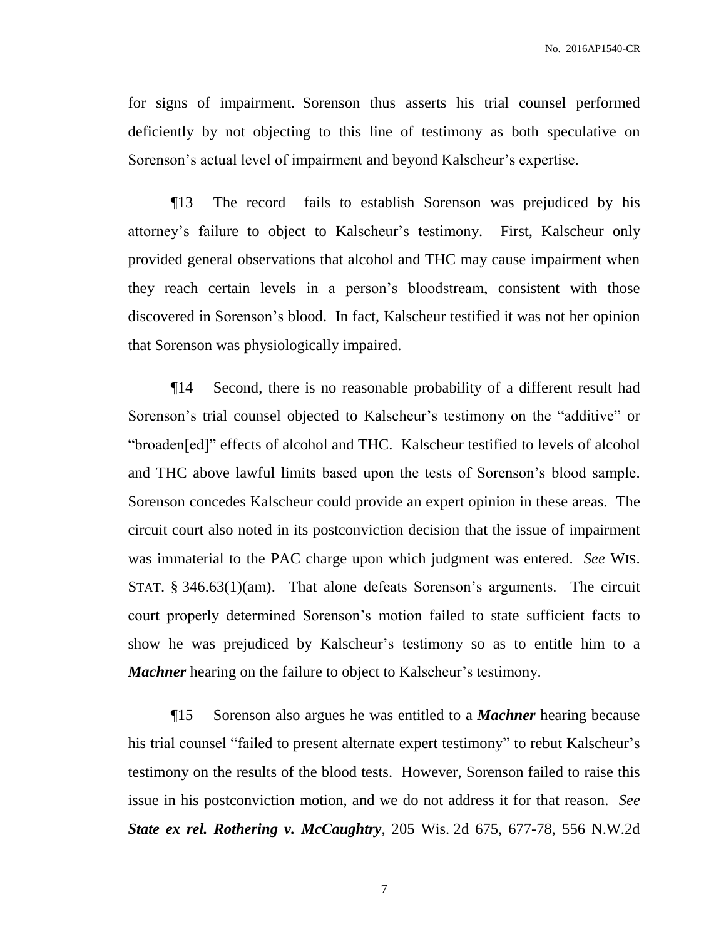for signs of impairment. Sorenson thus asserts his trial counsel performed deficiently by not objecting to this line of testimony as both speculative on Sorenson's actual level of impairment and beyond Kalscheur's expertise.

¶13 The record fails to establish Sorenson was prejudiced by his attorney's failure to object to Kalscheur's testimony. First, Kalscheur only provided general observations that alcohol and THC may cause impairment when they reach certain levels in a person's bloodstream, consistent with those discovered in Sorenson's blood. In fact, Kalscheur testified it was not her opinion that Sorenson was physiologically impaired.

¶14 Second, there is no reasonable probability of a different result had Sorenson's trial counsel objected to Kalscheur's testimony on the "additive" or "broaden[ed]" effects of alcohol and THC. Kalscheur testified to levels of alcohol and THC above lawful limits based upon the tests of Sorenson's blood sample. Sorenson concedes Kalscheur could provide an expert opinion in these areas. The circuit court also noted in its postconviction decision that the issue of impairment was immaterial to the PAC charge upon which judgment was entered. *See* WIS. STAT. § 346.63(1)(am). That alone defeats Sorenson's arguments. The circuit court properly determined Sorenson's motion failed to state sufficient facts to show he was prejudiced by Kalscheur's testimony so as to entitle him to a *Machner* hearing on the failure to object to Kalscheur's testimony.

¶15 Sorenson also argues he was entitled to a *Machner* hearing because his trial counsel "failed to present alternate expert testimony" to rebut Kalscheur's testimony on the results of the blood tests. However, Sorenson failed to raise this issue in his postconviction motion, and we do not address it for that reason. *See State ex rel. Rothering v. McCaughtry*, 205 Wis. 2d 675, 677-78, 556 N.W.2d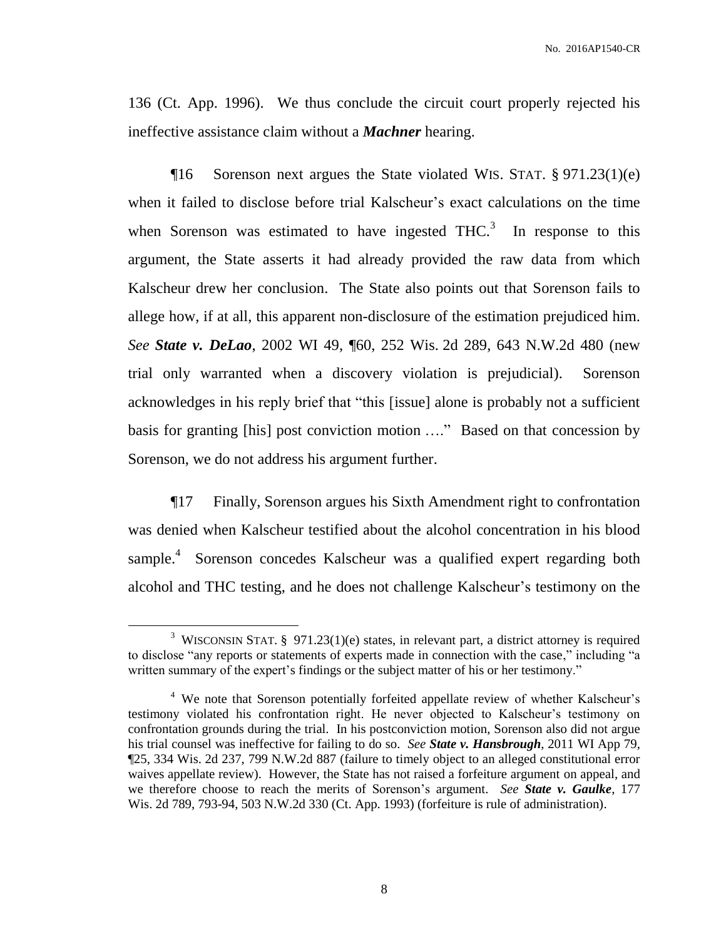136 (Ct. App. 1996). We thus conclude the circuit court properly rejected his ineffective assistance claim without a *Machner* hearing.

¶16 Sorenson next argues the State violated WIS. STAT. § 971.23(1)(e) when it failed to disclose before trial Kalscheur's exact calculations on the time when Sorenson was estimated to have ingested  $THC<sup>3</sup>$ . In response to this argument, the State asserts it had already provided the raw data from which Kalscheur drew her conclusion. The State also points out that Sorenson fails to allege how, if at all, this apparent non-disclosure of the estimation prejudiced him. *See State v. DeLao*, 2002 WI 49, ¶60, 252 Wis. 2d 289, 643 N.W.2d 480 (new trial only warranted when a discovery violation is prejudicial). Sorenson acknowledges in his reply brief that "this [issue] alone is probably not a sufficient basis for granting [his] post conviction motion …." Based on that concession by Sorenson, we do not address his argument further.

¶17 Finally, Sorenson argues his Sixth Amendment right to confrontation was denied when Kalscheur testified about the alcohol concentration in his blood sample.<sup>4</sup> Sorenson concedes Kalscheur was a qualified expert regarding both alcohol and THC testing, and he does not challenge Kalscheur's testimony on the

 $\overline{a}$ 

<sup>&</sup>lt;sup>3</sup> WISCONSIN STAT. § 971.23(1)(e) states, in relevant part, a district attorney is required to disclose "any reports or statements of experts made in connection with the case," including "a written summary of the expert's findings or the subject matter of his or her testimony."

<sup>&</sup>lt;sup>4</sup> We note that Sorenson potentially forfeited appellate review of whether Kalscheur's testimony violated his confrontation right. He never objected to Kalscheur's testimony on confrontation grounds during the trial. In his postconviction motion, Sorenson also did not argue his trial counsel was ineffective for failing to do so. *See State v. Hansbrough*, 2011 WI App 79, ¶25, 334 Wis. 2d 237, 799 N.W.2d 887 (failure to timely object to an alleged constitutional error waives appellate review). However, the State has not raised a forfeiture argument on appeal, and we therefore choose to reach the merits of Sorenson's argument. *See State v. Gaulke*, 177 Wis. 2d 789, 793-94, 503 N.W.2d 330 (Ct. App. 1993) (forfeiture is rule of administration).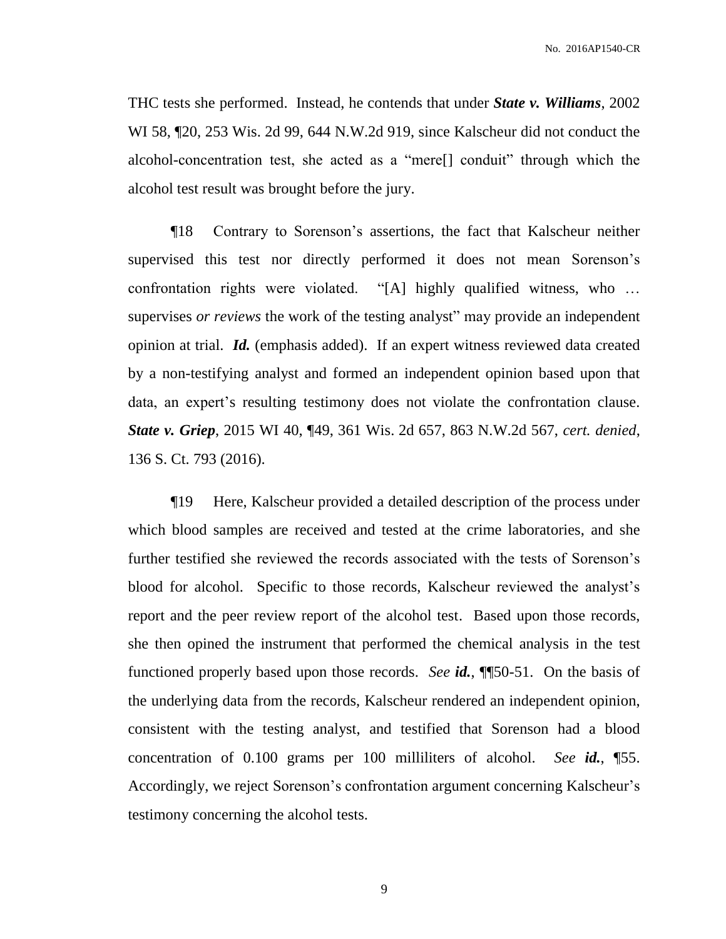THC tests she performed. Instead, he contends that under *State v. Williams*, 2002 WI 58, ¶20, 253 Wis. 2d 99, 644 N.W.2d 919, since Kalscheur did not conduct the alcohol-concentration test, she acted as a "mere[] conduit" through which the alcohol test result was brought before the jury.

¶18 Contrary to Sorenson's assertions, the fact that Kalscheur neither supervised this test nor directly performed it does not mean Sorenson's confrontation rights were violated. "[A] highly qualified witness, who … supervises *or reviews* the work of the testing analyst" may provide an independent opinion at trial. *Id.* (emphasis added). If an expert witness reviewed data created by a non-testifying analyst and formed an independent opinion based upon that data, an expert's resulting testimony does not violate the confrontation clause. *State v. Griep*, 2015 WI 40, ¶49, 361 Wis. 2d 657, 863 N.W.2d 567, *cert. denied*, 136 S. Ct. 793 (2016).

¶19 Here, Kalscheur provided a detailed description of the process under which blood samples are received and tested at the crime laboratories, and she further testified she reviewed the records associated with the tests of Sorenson's blood for alcohol. Specific to those records, Kalscheur reviewed the analyst's report and the peer review report of the alcohol test. Based upon those records, she then opined the instrument that performed the chemical analysis in the test functioned properly based upon those records. *See id.*, ¶¶50-51. On the basis of the underlying data from the records, Kalscheur rendered an independent opinion, consistent with the testing analyst, and testified that Sorenson had a blood concentration of 0.100 grams per 100 milliliters of alcohol. *See id.*, ¶55. Accordingly, we reject Sorenson's confrontation argument concerning Kalscheur's testimony concerning the alcohol tests.